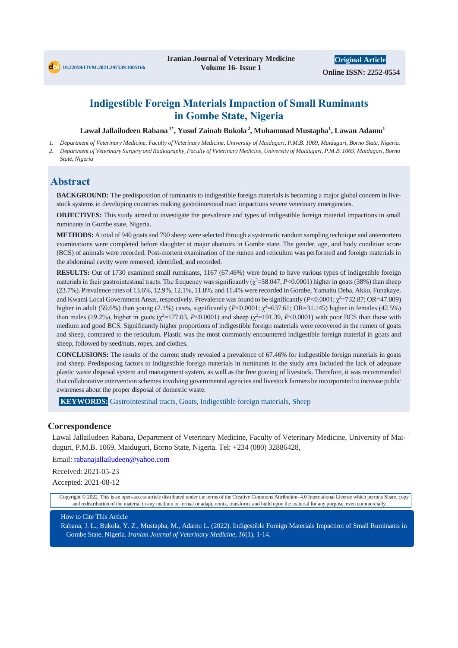# **Indigestible Foreign Materials Impaction of Small Ruminants in Gombe State, Nigeria**

**Lawal Jallailudeen Rabana 1\* , Yusuf Zainab Bukola <sup>2</sup> , Muhammad Mustapha<sup>1</sup> , Lawan Adamu<sup>1</sup>**

- 1. Department of Veterinary Medicine, Faculty of Veterinary Medicine, University of Maiduguri, P.M.B. 1069, Maiduguri, Borno State, Nigeria.
- 2. Department of Veterinary Surgery and Radiography, Faculty of Veterinary Medicine, University of Maiduguri, P.M.B. 1069, Maiduguri, Borno *State, Nigeria*

# **Abstract**

**BACKGROUND:** The predisposition of ruminants to indigestible foreign materials is becoming a major global concern in livestock systems in developing countries making gastrointestinal tract impactions severe veterinary emergencies.

**OBJECTIVES:** This study aimed to investigate the prevalence and types of indigestible foreign material impactions in small ruminants in Gombe state, Nigeria.

**METHODS:** A total of 940 goats and 790 sheep were selected through a systematic random sampling technique and antemortem examinations were completed before slaughter at major abattoirs in Gombe state. The gender, age, and body condition score (BCS) of animals were recorded. Post-mortem examination of the rumen and reticulum was performed and foreign materials in the abdominal cavity were removed, identified, and recorded.

**RESULTS:** Out of 1730 examined small ruminants, 1167 (67.46%) were found to have various types of indigestible foreign materials in their gastrointestinal tracts. The frequency was significantly  $(\chi^2 = 58.047, P < 0.0001)$  higher in goats (38%) than sheep (23.7%). Prevalence rates of 13.6%, 12.9%, 12.1%, 11.8%, and 11.4% were recorded in Gombe, Yamaltu Deba, Akko, Funakaye, and Kwami Local Government Areas, respectively. Prevalence was found to be significantly  $(P< 0.0001; \chi^2 = 732.87; OR = 47.009)$ higher in adult (59.6%) than young (2.1%) cases, significantly (*P*<0.0001;  $\chi^2$ =637.61; OR=31.145) higher in females (42.5%) than males (19.2%), higher in goats ( $\chi^2$ =177.03, *P*<0.0001) and sheep ( $\chi^2$ =191.39, *P*<0.0001) with poor BCS than those with medium and good BCS. Significantly higher proportions of indigestible foreign materials were recovered in the rumen of goats and sheep, compared to the reticulum. Plastic was the most commonly encountered indigestible foreign material in goats and sheep, followed by seed/nuts, ropes, and clothes.

**CONCLUSIONS:** The results of the current study revealed a prevalence of 67.46% for indigestible foreign materials in goats and sheep. Predisposing factors to indigestible foreign materials in ruminants in the study area included the lack of adequate plastic waste disposal system and management system, as well as the free grazing of livestock. Therefore, it was recommended that collaborative intervention schemes involving governmental agencies and livestock farmers be incorporated to increase public awareness about the proper disposal of domestic waste.

**KEYWORDS:** Gastrointestinal tracts, Goats, Indigestible foreign materials, Sheep

#### **Correspondence**

Lawal Jallailudeen Rabana, Department of Veterinary Medicine, Faculty of Veterinary Medicine, University of Maiduguri, P.M.B. 1069, Maiduguri, Borno State, Nigeria. Tel: +234 (080) 32886428,

Email: rabanajallailudeen@yahoo.com

Received: 2021-05-23

Accepted: 2021-08-12

Copyright © 2022. This is an open-access article distributed under the terms of the Creative Commons Attribution- 4.0 International License which permits Share, copy and redistribution of the material in any medium or format or adapt, remix, transform, and build upon the material for any purpose, even commercially.

How to Cite This Article

Rabana, J. L., Bukola, Y. Z., Mustapha, M., Adamu L. (2022). Indigestible Foreign Materials Impaction of Small Ruminants in Gombe State, Nigeria. *Iranian Journal of Veterinary Medicine, 16*(1), 1-14.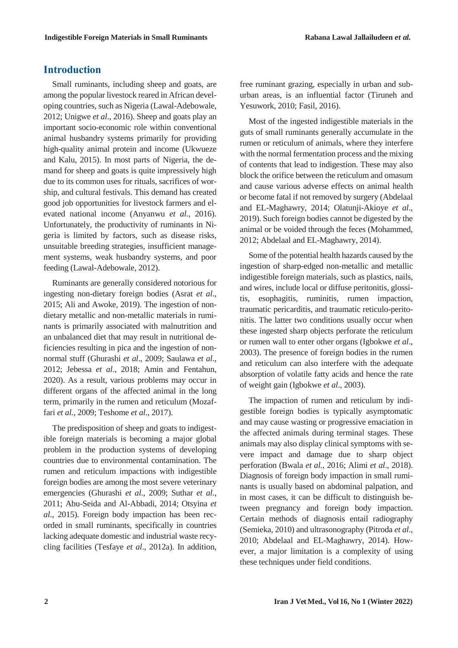## **Introduction**

Small ruminants, including sheep and goats, are among the popular livestock reared in African developing countries, such as Nigeria (Lawal-Adebowale, 2012; Unigwe *et al*., 2016). Sheep and goats play an important socio-economic role within conventional animal husbandry systems primarily for providing high-quality animal protein and income (Ukwueze and Kalu, 2015). In most parts of Nigeria, the demand for sheep and goats is quite impressively high due to its common uses for rituals, sacrifices of worship, and cultural festivals. This demand has created good job opportunities for livestock farmers and elevated national income (Anyanwu *et al.*, 2016). Unfortunately, the productivity of ruminants in Nigeria is limited by factors, such as disease risks, unsuitable breeding strategies, insufficient management systems, weak husbandry systems, and poor feeding (Lawal-Adebowale, 2012).

Ruminants are generally considered notorious for ingesting non-dietary foreign bodies (Asrat *et al*., 2015; Ali and Awoke, 2019). The ingestion of nondietary metallic and non-metallic materials in ruminants is primarily associated with malnutrition and an unbalanced diet that may result in nutritional deficiencies resulting in pica and the ingestion of nonnormal stuff (Ghurashi *et al*., 2009; Saulawa *et al*., 2012; Jebessa *et al*., 2018; Amin and Fentahun, 2020). As a result, various problems may occur in different organs of the affected animal in the long term, primarily in the rumen and reticulum (Mozaffari *et al.*, 2009; Teshome *et al*., 2017).

The predisposition of sheep and goats to indigestible foreign materials is becoming a major global problem in the production systems of developing countries due to environmental contamination. The rumen and reticulum impactions with indigestible foreign bodies are among the most severe veterinary emergencies (Ghurashi *et al*., 2009; Suthar *et al*., 2011; Abu-Seida and Al-Abbadi, 2014; Otsyina *et al*., 2015). Foreign body impaction has been recorded in small ruminants, specifically in countries lacking adequate domestic and industrial waste recycling facilities (Tesfaye *et al*., 2012a). In addition,

free ruminant grazing, especially in urban and suburban areas, is an influential factor (Tiruneh and Yesuwork, 2010; Fasil, 2016).

Most of the ingested indigestible materials in the guts of small ruminants generally accumulate in the rumen or reticulum of animals, where they interfere with the normal fermentation process and the mixing of contents that lead to indigestion. These may also block the orifice between the reticulum and omasum and cause various adverse effects on animal health or become fatal if not removed by surgery (Abdelaal and EL-Maghawry, 2014; Olatunji-Akioye *et al*., 2019). Such foreign bodies cannot be digested by the animal or be voided through the feces (Mohammed, 2012; Abdelaal and EL-Maghawry, 2014).

Some of the potential health hazards caused by the ingestion of sharp-edged non-metallic and metallic indigestible foreign materials, such as plastics, nails, and wires, include local or diffuse peritonitis, glossitis, esophagitis, ruminitis, rumen impaction, traumatic pericarditis, and traumatic reticulo-peritonitis. The latter two conditions usually occur when these ingested sharp objects perforate the reticulum or rumen wall to enter other organs (Igbokwe *et al*., 2003). The presence of foreign bodies in the rumen and reticulum can also interfere with the adequate absorption of volatile fatty acids and hence the rate of weight gain (Igbokwe *et al*., 2003).

The impaction of rumen and reticulum by indigestible foreign bodies is typically asymptomatic and may cause wasting or progressive emaciation in the affected animals during terminal stages. These animals may also display clinical symptoms with severe impact and damage due to sharp object perforation (Bwala *et al.*, 2016; Alimi *et al*., 2018). Diagnosis of foreign body impaction in small ruminants is usually based on abdominal palpation, and in most cases, it can be difficult to distinguish between pregnancy and foreign body impaction. Certain methods of diagnosis entail radiography (Semieka, 2010) and ultrasonography (Pitroda *et al*., 2010; Abdelaal and EL-Maghawry, 2014). However, a major limitation is a complexity of using these techniques under field conditions.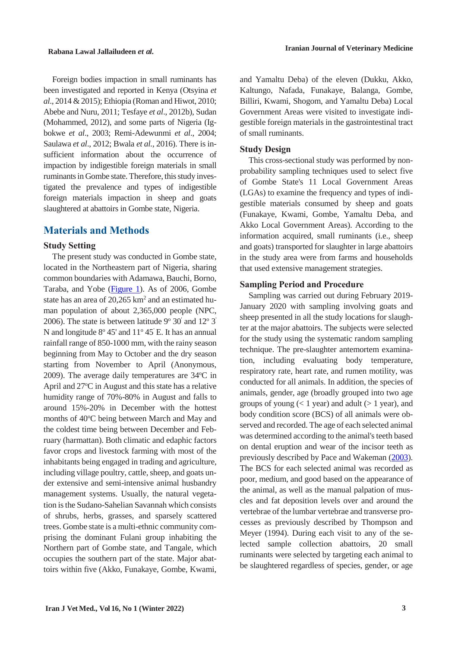Foreign bodies impaction in small ruminants has been investigated and reported in Kenya (Otsyina *et al*., 2014 & 2015); Ethiopia (Roman and Hiwot, 2010; Abebe and Nuru, 2011; Tesfaye *et al*., 2012b), Sudan (Mohammed, 2012), and some parts of Nigeria (Igbokwe *et al*., 2003; Remi-Adewunmi *et al*., 2004; Saulawa *et al*., 2012; Bwala *et al.*, 2016). There is insufficient information about the occurrence of impaction by indigestible foreign materials in small ruminants in Gombe state. Therefore, this study investigated the prevalence and types of indigestible foreign materials impaction in sheep and goats slaughtered at abattoirs in Gombe state, Nigeria.

# **Materials and Methods**

#### **Study Setting**

The present study was conducted in Gombe state, located in the Northeastern part of Nigeria, sharing common boundaries with Adamawa, Bauchi, Borno, Taraba, and Yobe [\(Figure](#page-3-0) 1). As of 2006, Gombe state has an area of  $20,265$  km<sup>2</sup> and an estimated human population of about 2,365,000 people (NPC, 2006). The state is between latitude  $9^{\circ}$  30' and  $12^{\circ}$  3' N and longitude  $8^{\circ}$  45' and  $11^{\circ}$  45' E. It has an annual rainfall range of 850-1000 mm, with the rainy season beginning from May to October and the dry season starting from November to April (Anonymous, 2009). The average daily temperatures are  $34^{\circ}$ C in April and  $27^{\circ}$ C in August and this state has a relative humidity range of 70%-80% in August and falls to around 15%-20% in December with the hottest months of 40<sup>o</sup>C being between March and May and the coldest time being between December and February (harmattan). Both climatic and edaphic factors favor crops and livestock farming with most of the inhabitants being engaged in trading and agriculture, including village poultry, cattle, sheep, and goats under extensive and semi-intensive animal husbandry management systems. Usually, the natural vegetation isthe Sudano-Sahelian Savannah which consists of shrubs, herbs, grasses, and sparsely scattered trees. Gombe state is a multi-ethnic community comprising the dominant Fulani group inhabiting the Northern part of Gombe state, and Tangale, which occupies the southern part of the state. Major abattoirs within five (Akko, Funakaye, Gombe, Kwami, and Yamaltu Deba) of the eleven (Dukku, Akko, Kaltungo, Nafada, Funakaye, Balanga, Gombe, Billiri, Kwami, Shogom, and Yamaltu Deba) Local Government Areas were visited to investigate indigestible foreign materials in the gastrointestinal tract of small ruminants.

#### **Study Design**

This cross-sectional study was performed by nonprobability sampling techniques used to select five of Gombe State's 11 Local Government Areas (LGAs) to examine the frequency and types of indigestible materials consumed by sheep and goats (Funakaye, Kwami, Gombe, Yamaltu Deba, and Akko Local Government Areas). According to the information acquired, small ruminants (i.e., sheep and goats) transported for slaughter in large abattoirs in the study area were from farms and households that used extensive management strategies.

#### **Sampling Period and Procedure**

Sampling was carried out during February 2019- January 2020 with sampling involving goats and sheep presented in all the study locations for slaughter at the major abattoirs. The subjects were selected for the study using the systematic random sampling technique. The pre-slaughter antemortem examination, including evaluating body temperature, respiratory rate, heart rate, and rumen motility, was conducted for all animals. In addition, the species of animals, gender, age (broadly grouped into two age groups of young  $(< 1$  year) and adult  $(> 1$  year), and body condition score (BCS) of all animals were observed and recorded. The age of each selected animal was determined according to the animal's teeth based on dental eruption and wear of the incisor teeth as previously described by Pace and Wakeman (2003). The BCS for each selected animal was recorded as poor, medium, and good based on the appearance of the animal, as well as the manual palpation of muscles and fat deposition levels over and around the vertebrae of the lumbar vertebrae and transverse processes as previously described by Thompson and Meyer (1994). During each visit to any of the selected sample collection abattoirs, 20 small ruminants were selected by targeting each animal to be slaughtered regardless of species, gender, or age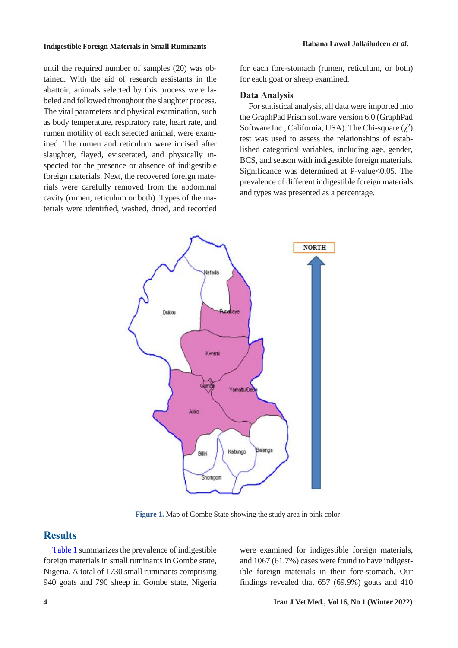until the required number of samples (20) was obtained. With the aid of research assistants in the abattoir, animals selected by this process were labeled and followed throughout the slaughter process. The vital parameters and physical examination, such as body temperature, respiratory rate, heart rate, and rumen motility of each selected animal, were examined. The rumen and reticulum were incised after slaughter, flayed, eviscerated, and physically inspected for the presence or absence of indigestible foreign materials. Next, the recovered foreign materials were carefully removed from the abdominal cavity (rumen, reticulum or both). Types of the materials were identified, washed, dried, and recorded for each fore-stomach (rumen, reticulum, or both) for each goat or sheep examined.

#### **Data Analysis**

For statistical analysis, all data were imported into the GraphPad Prism software version 6.0 (GraphPad Software Inc., California, USA). The Chi-square  $(\chi^2)$ test was used to assess the relationships of established categorical variables, including age, gender, BCS, and season with indigestible foreign materials. Significance was determined at P-value<0.05. The prevalence of different indigestible foreign materials and types was presented as a percentage.



 **Figure 1.** Map of Gombe State showing the study area in pink color

### <span id="page-3-0"></span>**Results**

[Table](#page-4-0) 1 summarizes the prevalence of indigestible foreign materials in small ruminants in Gombe state, Nigeria. A total of 1730 small ruminants comprising 940 goats and 790 sheep in Gombe state, Nigeria were examined for indigestible foreign materials, and 1067 (61.7%) cases were found to have indigestible foreign materials in their fore-stomach. Our findings revealed that 657 (69.9%) goats and 410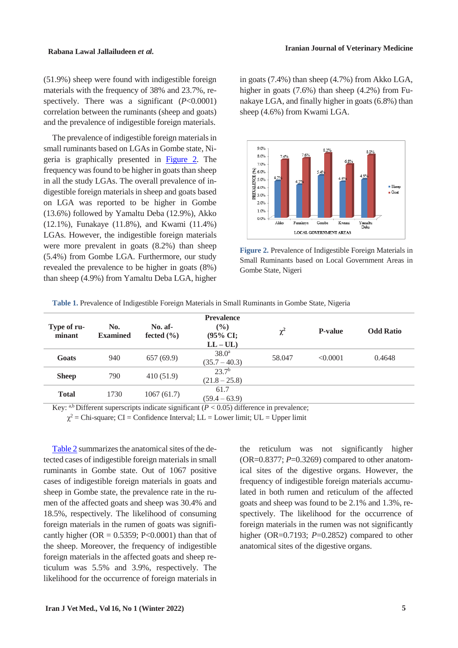(51.9%) sheep were found with indigestible foreign materials with the frequency of 38% and 23.7%, respectively. There was a significant (*P*<0.0001) correlation between the ruminants (sheep and goats) and the prevalence of indigestible foreign materials.

The prevalence of indigestible foreign materials in small ruminants based on LGAs in Gombe state, Nigeria is graphically presented in [Figure](#page-4-1) 2. The frequency was found to be higher in goats than sheep in all the study LGAs. The overall prevalence of indigestible foreign materials in sheep and goats based on LGA was reported to be higher in Gombe (13.6%) followed by Yamaltu Deba (12.9%), Akko (12.1%), Funakaye (11.8%), and Kwami (11.4%) LGAs. However, the indigestible foreign materials were more prevalent in goats (8.2%) than sheep (5.4%) from Gombe LGA. Furthermore, our study revealed the prevalence to be higher in goats (8%) than sheep (4.9%) from Yamaltu Deba LGA, higher

in goats (7.4%) than sheep (4.7%) from Akko LGA, higher in goats (7.6%) than sheep (4.2%) from Funakaye LGA, and finally higher in goats (6.8%) than sheep (4.6%) from Kwami LGA.



<span id="page-4-1"></span>**Figure 2.** Prevalence of Indigestible Foreign Materials in Small Ruminants based on Local Government Areas in Gombe State, Nigeri

| Type of ru-<br>minant | No.<br><b>Examined</b> | No. af-<br>fected $(\% )$ | <b>Prevalence</b><br>$\frac{6}{6}$<br>(95% CI;<br>$LL - UL$ | $\chi^2$ | <b>P-value</b> | <b>Odd Ratio</b> |
|-----------------------|------------------------|---------------------------|-------------------------------------------------------------|----------|----------------|------------------|
| Goats                 | 940                    | 657(69.9)                 | 38.0 <sup>a</sup><br>$(35.7 - 40.3)$                        | 58.047   | < 0.0001       | 0.4648           |
| <b>Sheep</b>          | 790                    | 410(51.9)                 | 23.7 <sup>b</sup><br>$(21.8 - 25.8)$                        |          |                |                  |
| <b>Total</b>          | 1730                   | 1067(61.7)                | 61.7<br>$(59.4 - 63.9)$                                     |          |                |                  |

<span id="page-4-0"></span>**Table 1.** Prevalence of Indigestible Foreign Materials in Small Ruminants in Gombe State, Nigeria

Key: a,b Different superscripts indicate significant ( $P < 0.05$ ) difference in prevalence;

 $\chi^2$  = Chi-square; CI = Confidence Interval; LL = Lower limit; UL = Upper limit

[Table](#page-5-0) 2 summarizes the anatomical sites of the detected cases of indigestible foreign materials in small ruminants in Gombe state. Out of 1067 positive cases of indigestible foreign materials in goats and sheep in Gombe state, the prevalence rate in the rumen of the affected goats and sheep was 30.4% and 18.5%, respectively. The likelihood of consuming foreign materials in the rumen of goats was significantly higher ( $OR = 0.5359$ ;  $P<0.0001$ ) than that of the sheep. Moreover, the frequency of indigestible foreign materials in the affected goats and sheep reticulum was 5.5% and 3.9%, respectively. The likelihood for the occurrence of foreign materials in

the reticulum was not significantly higher  $(OR=0.8377; P=0.3269)$  compared to other anatomical sites of the digestive organs. However, the frequency of indigestible foreign materials accumulated in both rumen and reticulum of the affected goats and sheep was found to be 2.1% and 1.3%, respectively. The likelihood for the occurrence of foreign materials in the rumen was not significantly higher (OR=0.7193; *P*=0.2852) compared to other anatomical sites of the digestive organs.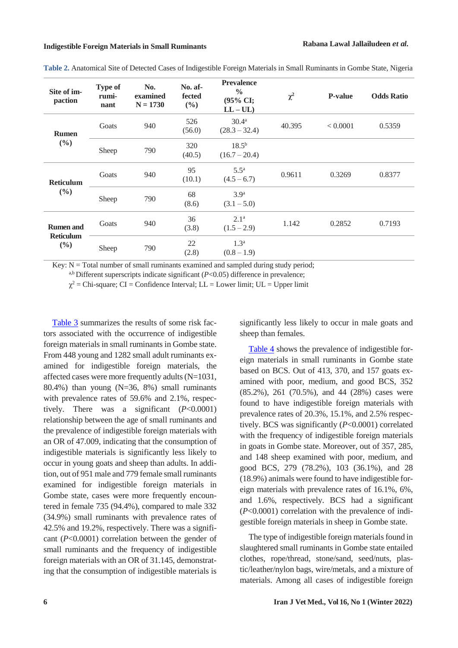| Site of im-<br>paction                                  | <b>Type of</b><br>rumi-<br>nant | No.<br>examined<br>$N = 1730$ | No. af-<br>fected<br>$(\%)$ | <b>Prevalence</b><br>$\frac{0}{0}$<br>(95% CI;<br>$LL - UL$ | $\chi^2$ | <b>P-value</b> | <b>Odds Ratio</b> |
|---------------------------------------------------------|---------------------------------|-------------------------------|-----------------------------|-------------------------------------------------------------|----------|----------------|-------------------|
| <b>Rumen</b><br>(%)                                     | Goats                           | 940                           | 526<br>(56.0)               | $30.4^{\rm a}$<br>$(28.3 - 32.4)$                           | 40.395   | < 0.0001       | 0.5359            |
|                                                         | Sheep                           | 790                           | 320<br>(40.5)               | $18.5^{b}$<br>$(16.7 - 20.4)$                               |          |                |                   |
| <b>Reticulum</b><br>(%)                                 | Goats                           | 940                           | 95<br>(10.1)                | $5.5^{\mathrm{a}}$<br>$(4.5 - 6.7)$                         | 0.9611   | 0.3269         | 0.8377            |
|                                                         | Sheep                           | 790                           | 68<br>(8.6)                 | 3.9 <sup>a</sup><br>$(3.1 - 5.0)$                           |          |                |                   |
| <b>Rumen</b> and<br><b>Reticulum</b><br>$(\frac{6}{6})$ | Goats                           | 940                           | 36<br>(3.8)                 | 2.1 <sup>a</sup><br>$(1.5 - 2.9)$                           | 1.142    | 0.2852         | 0.7193            |
|                                                         | Sheep                           | 790                           | 22<br>(2.8)                 | 1.3 <sup>a</sup><br>$(0.8 - 1.9)$                           |          |                |                   |

<span id="page-5-0"></span>**Table 2.** Anatomical Site of Detected Cases of Indigestible Foreign Materials in Small Ruminants in Gombe State, Nigeria

Key:  $N = Total$  number of small ruminants examined and sampled during study period;

 $a$ ,b Different superscripts indicate significant ( $P$ <0.05) difference in prevalence;

 $\chi^2$  = Chi-square; CI = Confidence Interval; LL = Lower limit; UL = Upper limit

[Table](#page-6-0) 3 summarizes the results of some risk factors associated with the occurrence of indigestible foreign materials in small ruminants in Gombe state. From 448 young and 1282 small adult ruminants examined for indigestible foreign materials, the affected cases were more frequently adults(N=1031, 80.4%) than young (N=36, 8%) small ruminants with prevalence rates of 59.6% and 2.1%, respectively. There was a significant (*P*<0.0001) relationship between the age of small ruminants and the prevalence of indigestible foreign materials with an OR of 47.009, indicating that the consumption of indigestible materials is significantly less likely to occur in young goats and sheep than adults. In addition, out of 951 male and 779 female small ruminants examined for indigestible foreign materials in Gombe state, cases were more frequently encountered in female 735 (94.4%), compared to male 332 (34.9%) small ruminants with prevalence rates of 42.5% and 19.2%, respectively. There was a significant (*P*<0.0001) correlation between the gender of small ruminants and the frequency of indigestible foreign materials with an OR of 31.145, demonstrating that the consumption of indigestible materials is

significantly less likely to occur in male goats and sheep than females.

[Table](#page-7-0) 4 shows the prevalence of indigestible foreign materials in small ruminants in Gombe state based on BCS. Out of 413, 370, and 157 goats examined with poor, medium, and good BCS, 352 (85.2%), 261 (70.5%), and 44 (28%) cases were found to have indigestible foreign materials with prevalence rates of 20.3%, 15.1%, and 2.5% respectively. BCS was significantly (*P*<0.0001) correlated with the frequency of indigestible foreign materials in goats in Gombe state. Moreover, out of 357, 285, and 148 sheep examined with poor, medium, and good BCS, 279 (78.2%), 103 (36.1%), and 28 (18.9%) animals were found to have indigestible foreign materials with prevalence rates of 16.1%, 6%, and 1.6%, respectively. BCS had a significant (*P*<0.0001) correlation with the prevalence of indigestible foreign materials in sheep in Gombe state.

The type of indigestible foreign materials found in slaughtered small ruminants in Gombe state entailed clothes, rope/thread, stone/sand, seed/nuts, plastic/leather/nylon bags, wire/metals, and a mixture of materials. Among all cases of indigestible foreign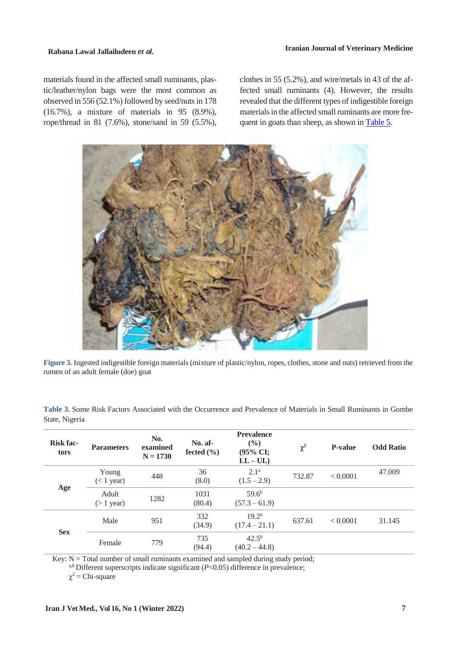materials found in the affected small ruminants, plastic/leather/nylon bags were the most common as observed in  $556 (52.1\%)$  followed by seed/nuts in  $178$ (16.7%), a mixture of materials in 95 (8.9%), rope/thread in 81 (7.6%), stone/sand in 59 (5.5%),

clothes in 55 (5.2%), and wire/metals in 43 of the affected small ruminants (4). However, the results revealed that the different types of indigestible foreign materials in the affected small ruminants are more frequent in goats than sheep, as shown in Table 5.

<span id="page-6-0"></span>

**Figure 3.** Ingested indigestible foreign materials (mixture of plastic/nylon, ropes, clothes, stone and nuts) retrieved from the rumen of an adult female (doe) goat

| Table 3. Some Risk Factors Associated with the Occurrence and Prevalence of Materials in Small Ruminants in Gombe |  |  |  |  |  |  |  |
|-------------------------------------------------------------------------------------------------------------------|--|--|--|--|--|--|--|
| State, Nigeria                                                                                                    |  |  |  |  |  |  |  |

| <b>Risk fac-</b><br>tors | <b>Parameters</b>     | No.<br>examined<br>$N = 1730$ | $No.$ af-<br>fected $(\% )$ | <b>Prevalence</b><br>(9/0)<br>(95% CI;<br>$LL - UL$ | $\chi^2$ | <b>P-value</b> | <b>Odd Ratio</b> |
|--------------------------|-----------------------|-------------------------------|-----------------------------|-----------------------------------------------------|----------|----------------|------------------|
| Age                      | Young<br>$(< 1$ year) | 448                           | 36<br>(8.0)                 | 2.1 <sup>a</sup><br>$(1.5 - 2.9)$                   | 732.87   | < 0.0001       | 47.009           |
|                          | Adult<br>$($ 1 year)  | 1282                          | 1031<br>(80.4)              | $59.6^b$<br>$(57.3 - 61.9)$                         |          |                |                  |
| <b>Sex</b>               | Male                  | 951                           | 332<br>(34.9)               | 19.2 <sup>a</sup><br>$(17.4 - 21.1)$                | 637.61   | < 0.0001       | 31.145           |
|                          | Female                | 779                           | 735<br>(94.4)               | $42.5^{b}$<br>$(40.2 - 44.8)$                       |          |                |                  |

Key:  $N = Total$  number of small ruminants examined and sampled during study period;

a,b Different superscripts indicate significant (*P*<0.05) difference in prevalence;

 $\chi^2$  = Chi-square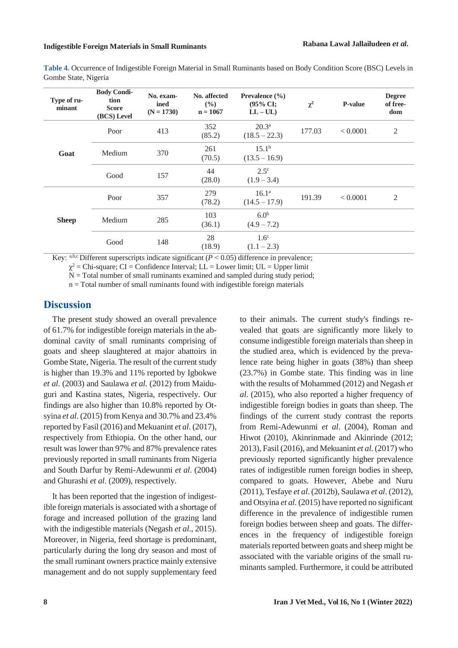<span id="page-7-0"></span>

| Table 4. Occurrence of Indigestible Foreign Material in Small Ruminants based on Body Condition Score (BSC) Levels in |  |
|-----------------------------------------------------------------------------------------------------------------------|--|
| Gombe State, Nigeria                                                                                                  |  |

| Type of ru-<br>minant | <b>Body Condi-</b><br>tion<br><b>Score</b><br>(BCS) Level | No. exam-<br>ined<br>$(N = 1730)$ | No. affected<br>(9/0)<br>$n = 1067$ | Prevalence $(\% )$<br>$(95\% \text{ CI};$<br>$LL - UL$ | $\chi^2$ | <b>P-value</b> | <b>Degree</b><br>of free-<br>dom |
|-----------------------|-----------------------------------------------------------|-----------------------------------|-------------------------------------|--------------------------------------------------------|----------|----------------|----------------------------------|
| Goat                  | Poor                                                      | 413                               | 352<br>(85.2)                       | $20.3^{\rm a}$<br>$(18.5 - 22.3)$                      | 177.03   | < 0.0001       | $\overline{2}$                   |
|                       | Medium                                                    | 370                               | 261<br>(70.5)                       | $15.1^{\rm b}$<br>$(13.5 - 16.9)$                      |          |                |                                  |
|                       | Good                                                      | 157                               | 44<br>(28.0)                        | $2.5^{\circ}$<br>$(1.9 - 3.4)$                         |          |                |                                  |
| <b>Sheep</b>          | Poor                                                      | 357                               | 279<br>(78.2)                       | $16.1^{\rm a}$<br>$(14.5 - 17.9)$                      | 191.39   | < 0.0001       | 2                                |
|                       | Medium                                                    | 285                               | 103<br>(36.1)                       | 6.0 <sup>b</sup><br>$(4.9 - 7.2)$                      |          |                |                                  |
|                       | Good                                                      | 148                               | 28<br>(18.9)                        | 1.6 <sup>c</sup><br>$(1.1 - 2.3)$                      |          |                |                                  |

Key: a,b,c Different superscripts indicate significant  $(P < 0.05)$  difference in prevalence;

 $\chi^2$  = Chi-square; CI = Confidence Interval; LL = Lower limit; UL = Upper limit

 $N = Total$  number of small ruminants examined and sampled during study period;

 $n = Total number of small ruminants found with indigestible foreign materials$ 

#### **Discussion**

The present study showed an overall prevalence of 61.7% for indigestible foreign materials in the abdominal cavity of small ruminants comprising of goats and sheep slaughtered at major abattoirs in Gombe State, Nigeria. The result of the current study is higher than 19.3% and 11% reported by Igbokwe *et al*. (2003) and Saulawa *et al.* (2012) from Maiduguri and Kastina states, Nigeria, respectively. Our findings are also higher than 10.8% reported by Otsyina *et al*. (2015) from Kenya and 30.7% and 23.4% reported by Fasil (2016) and Mekuanint *et al*. (2017), respectively from Ethiopia. On the other hand, our result was lower than 97% and 87% prevalence rates previously reported in small ruminants from Nigeria and South Darfur by Remi-Adewunmi *et al*. (2004) and Ghurashi *et al*. (2009), respectively.

It has been reported that the ingestion of indigestible foreign materials is associated with a shortage of forage and increased pollution of the grazing land with the indigestible materials (Negash *et al*., 2015). Moreover, in Nigeria, feed shortage is predominant, particularly during the long dry season and most of the small ruminant owners practice mainly extensive management and do not supply supplementary feed

to their animals. The current study's findings revealed that goats are significantly more likely to consume indigestible foreign materials than sheep in the studied area, which is evidenced by the prevalence rate being higher in goats (38%) than sheep (23.7%) in Gombe state. This finding was in line with the results of Mohammed (2012) and Negash *et al*. (2015), who also reported a higher frequency of indigestible foreign bodies in goats than sheep. The findings of the current study contrast the reports from Remi-Adewunmi *et al*. (2004), Roman and Hiwot (2010), Akinrinmade and Akinrinde (2012; 2013), Fasil (2016), and Mekuanint *et al*. (2017) who previously reported significantly higher prevalence rates of indigestible rumen foreign bodies in sheep, compared to goats. However, Abebe and Nuru (2011), Tesfaye *et al*. (2012b), Saulawa *et al*. (2012), and Otsyina *et al*. (2015) have reported no significant difference in the prevalence of indigestible rumen foreign bodies between sheep and goats. The differences in the frequency of indigestible foreign materials reported between goats and sheep might be associated with the variable origins of the small ruminants sampled. Furthermore, it could be attributed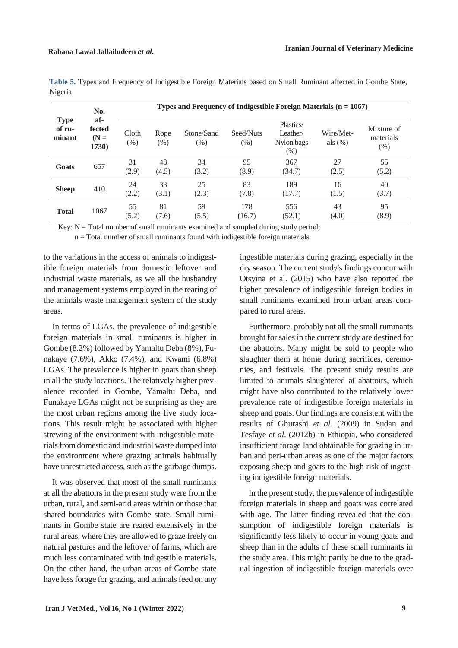| <b>Type</b><br>of ru-<br>minant | No.                                     | Types and Frequency of Indigestible Foreign Materials $(n = 1067)$ |                |                      |                   |                                                |                         |                                   |  |  |
|---------------------------------|-----------------------------------------|--------------------------------------------------------------------|----------------|----------------------|-------------------|------------------------------------------------|-------------------------|-----------------------------------|--|--|
|                                 | af-<br>fected<br>$(N =$<br><b>1730)</b> | Cloth<br>(% )                                                      | Rope<br>$(\%)$ | Stone/Sand<br>$(\%)$ | Seed/Nuts<br>(% ) | Plastics/<br>Leather/<br>Nylon bags<br>$(\% )$ | Wire/Met-<br>als $(\%)$ | Mixture of<br>materials<br>$(\%)$ |  |  |
| Goats                           | 657                                     | 31<br>(2.9)                                                        | 48<br>(4.5)    | 34<br>(3.2)          | 95<br>(8.9)       | 367<br>(34.7)                                  | 27<br>(2.5)             | 55<br>(5.2)                       |  |  |
| <b>Sheep</b>                    | 410                                     | 24<br>(2.2)                                                        | 33<br>(3.1)    | 25<br>(2.3)          | 83<br>(7.8)       | 189<br>(17.7)                                  | 16<br>(1.5)             | 40<br>(3.7)                       |  |  |
| <b>Total</b>                    | 1067                                    | 55<br>(5.2)                                                        | 81<br>(7.6)    | 59<br>(5.5)          | 178<br>(16.7)     | 556<br>(52.1)                                  | 43<br>(4.0)             | 95<br>(8.9)                       |  |  |

| Table 5. Types and Frequency of Indigestible Foreign Materials based on Small Ruminant affected in Gombe State, |  |  |  |  |  |
|-----------------------------------------------------------------------------------------------------------------|--|--|--|--|--|
| Nigeria                                                                                                         |  |  |  |  |  |

Key:  $N = Total$  number of small ruminants examined and sampled during study period;

n = Total number of small ruminants found with indigestible foreign materials

to the variations in the access of animals to indigestible foreign materials from domestic leftover and industrial waste materials, as we all the husbandry and management systems employed in the rearing of the animals waste management system of the study areas.

In terms of LGAs, the prevalence of indigestible foreign materials in small ruminants is higher in Gombe (8.2%) followed by Yamaltu Deba (8%), Funakaye (7.6%), Akko (7.4%), and Kwami (6.8%) LGAs. The prevalence is higher in goats than sheep in all the study locations. The relatively higher prevalence recorded in Gombe, Yamaltu Deba, and Funakaye LGAs might not be surprising as they are the most urban regions among the five study locations. This result might be associated with higher strewing of the environment with indigestible materialsfrom domestic and industrial waste dumped into the environment where grazing animals habitually have unrestricted access, such as the garbage dumps.

It was observed that most of the small ruminants at all the abattoirs in the present study were from the urban, rural, and semi-arid areas within or those that shared boundaries with Gombe state. Small ruminants in Gombe state are reared extensively in the rural areas, where they are allowed to graze freely on natural pastures and the leftover of farms, which are much less contaminated with indigestible materials. On the other hand, the urban areas of Gombe state have less forage for grazing, and animals feed on any

ingestible materials during grazing, especially in the dry season. The current study's findings concur with Otsyina et al. (2015) who have also reported the higher prevalence of indigestible foreign bodies in small ruminants examined from urban areas compared to rural areas.

Furthermore, probably not all the small ruminants brought for sales in the current study are destined for the abattoirs. Many might be sold to people who slaughter them at home during sacrifices, ceremonies, and festivals. The present study results are limited to animals slaughtered at abattoirs, which might have also contributed to the relatively lower prevalence rate of indigestible foreign materials in sheep and goats. Our findings are consistent with the results of Ghurashi *et al*. (2009) in Sudan and Tesfaye *et al*. (2012b) in Ethiopia, who considered insufficient forage land obtainable for grazing in urban and peri-urban areas as one of the major factors exposing sheep and goats to the high risk of ingesting indigestible foreign materials.

In the present study, the prevalence of indigestible foreign materials in sheep and goats was correlated with age. The latter finding revealed that the consumption of indigestible foreign materials is significantly less likely to occur in young goats and sheep than in the adults of these small ruminants in the study area. This might partly be due to the gradual ingestion of indigestible foreign materials over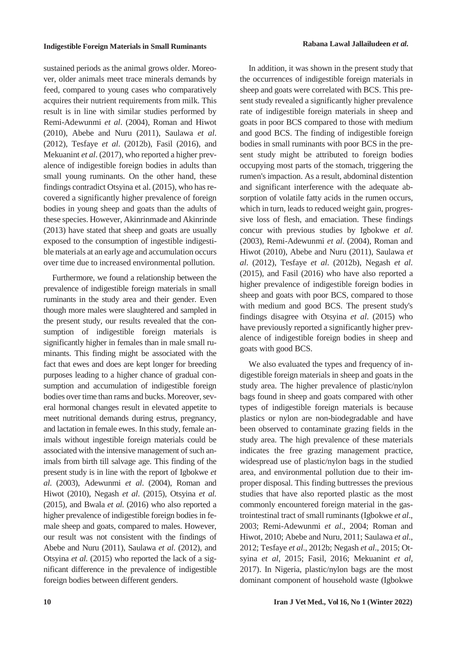sustained periods as the animal grows older. Moreover, older animals meet trace minerals demands by feed, compared to young cases who comparatively acquires their nutrient requirements from milk. This result is in line with similar studies performed by Remi-Adewunmi *et al*. (2004), Roman and Hiwot (2010), Abebe and Nuru (2011), Saulawa *et al*. (2012), Tesfaye *et al*. (2012b), Fasil (2016), and Mekuanint *et al*. (2017), who reported a higher prevalence of indigestible foreign bodies in adults than small young ruminants. On the other hand, these findings contradict Otsyina et al. (2015), who has recovered a significantly higher prevalence of foreign bodies in young sheep and goats than the adults of these species. However, Akinrinmade and Akinrinde (2013) have stated that sheep and goats are usually exposed to the consumption of ingestible indigestible materials at an early age and accumulation occurs over time due to increased environmental pollution.

Furthermore, we found a relationship between the prevalence of indigestible foreign materials in small ruminants in the study area and their gender. Even though more males were slaughtered and sampled in the present study, our results revealed that the consumption of indigestible foreign materials is significantly higher in females than in male small ruminants. This finding might be associated with the fact that ewes and does are kept longer for breeding purposes leading to a higher chance of gradual consumption and accumulation of indigestible foreign bodies over time than rams and bucks. Moreover, several hormonal changes result in elevated appetite to meet nutritional demands during estrus, pregnancy, and lactation in female ewes. In this study, female animals without ingestible foreign materials could be associated with the intensive management of such animals from birth till salvage age. This finding of the present study is in line with the report of Igbokwe *et al*. (2003), Adewunmi *et al*. (2004), Roman and Hiwot (2010), Negash *et al*. (2015), Otsyina *et al.* (2015), and Bwala *et al.* (2016) who also reported a higher prevalence of indigestible foreign bodies in female sheep and goats, compared to males. However, our result was not consistent with the findings of Abebe and Nuru (2011), Saulawa *et al*. (2012), and Otsyina *et al.* (2015) who reported the lack of a significant difference in the prevalence of indigestible foreign bodies between different genders.

In addition, it was shown in the present study that the occurrences of indigestible foreign materials in sheep and goats were correlated with BCS. This present study revealed a significantly higher prevalence rate of indigestible foreign materials in sheep and goats in poor BCS compared to those with medium and good BCS. The finding of indigestible foreign bodies in small ruminants with poor BCS in the present study might be attributed to foreign bodies occupying most parts of the stomach, triggering the rumen's impaction. As a result, abdominal distention and significant interference with the adequate absorption of volatile fatty acids in the rumen occurs, which in turn, leads to reduced weight gain, progressive loss of flesh, and emaciation. These findings concur with previous studies by Igbokwe *et al*. (2003), Remi-Adewunmi *et al*. (2004), Roman and Hiwot (2010), Abebe and Nuru (2011), Saulawa *et al*. (2012), Tesfaye *et al*. (2012b), Negash *et al*. (2015), and Fasil (2016) who have also reported a higher prevalence of indigestible foreign bodies in sheep and goats with poor BCS, compared to those with medium and good BCS. The present study's findings disagree with Otsyina *et al*. (2015) who have previously reported a significantly higher prevalence of indigestible foreign bodies in sheep and goats with good BCS.

We also evaluated the types and frequency of indigestible foreign materials in sheep and goats in the study area. The higher prevalence of plastic/nylon bags found in sheep and goats compared with other types of indigestible foreign materials is because plastics or nylon are non-biodegradable and have been observed to contaminate grazing fields in the study area. The high prevalence of these materials indicates the free grazing management practice, widespread use of plastic/nylon bags in the studied area, and environmental pollution due to their improper disposal. This finding buttresses the previous studies that have also reported plastic as the most commonly encountered foreign material in the gastrointestinal tract of small ruminants (Igbokwe *et al*., 2003; Remi-Adewunmi *et al*., 2004; Roman and Hiwot, 2010; Abebe and Nuru, 2011; Saulawa *et al*., 2012; Tesfaye *et al*., 2012b; Negash *et al*., 2015; Otsyina *et al*, 2015; Fasil, 2016; Mekuanint *et al*, 2017). In Nigeria, plastic/nylon bags are the most dominant component of household waste (Igbokwe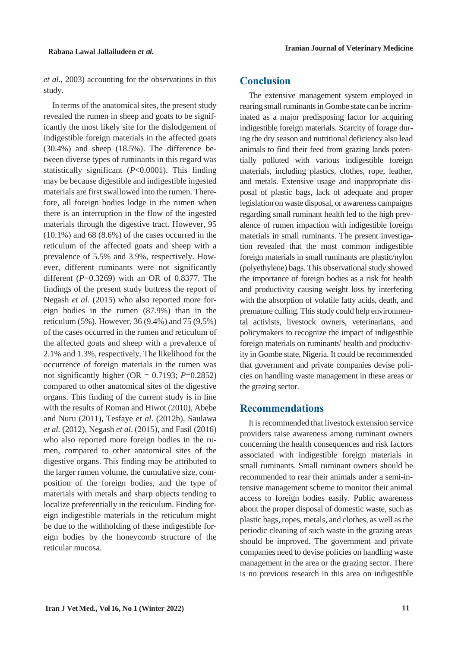*et al.*, 2003) accounting for the observations in this study.

In terms of the anatomical sites, the present study revealed the rumen in sheep and goats to be significantly the most likely site for the dislodgement of indigestible foreign materials in the affected goats (30.4%) and sheep (18.5%). The difference between diverse types of ruminants in this regard was statistically significant (*P*<0.0001). This finding may be because digestible and indigestible ingested materials are first swallowed into the rumen. Therefore, all foreign bodies lodge in the rumen when there is an interruption in the flow of the ingested materials through the digestive tract. However, 95 (10.1%) and 68 (8.6%) of the cases occurred in the reticulum of the affected goats and sheep with a prevalence of 5.5% and 3.9%, respectively. However, different ruminants were not significantly different  $(P=0.3269)$  with an OR of 0.8377. The findings of the present study buttress the report of Negash *et al*. (2015) who also reported more foreign bodies in the rumen (87.9%) than in the reticulum (5%). However, 36 (9.4%) and 75 (9.5%) of the cases occurred in the rumen and reticulum of the affected goats and sheep with a prevalence of 2.1% and 1.3%, respectively. The likelihood for the occurrence of foreign materials in the rumen was not significantly higher (OR =  $0.7193$ ; *P*=0.2852) compared to other anatomical sites of the digestive organs. This finding of the current study is in line with the results of Roman and Hiwot (2010), Abebe and Nuru (2011), Tesfaye *et al*. (2012b), Saulawa *et al.* (2012), Negash *et al*. (2015), and Fasil (2016) who also reported more foreign bodies in the rumen, compared to other anatomical sites of the digestive organs. This finding may be attributed to the larger rumen volume, the cumulative size, composition of the foreign bodies, and the type of materials with metals and sharp objects tending to localize preferentially in the reticulum. Finding foreign indigestible materials in the reticulum might be due to the withholding of these indigestible foreign bodies by the honeycomb structure of the reticular mucosa.

## **Conclusion**

The extensive management system employed in rearing small ruminants in Gombe state can be incriminated as a major predisposing factor for acquiring indigestible foreign materials. Scarcity of forage during the dry season and nutritional deficiency also lead animals to find their feed from grazing lands potentially polluted with various indigestible foreign materials, including plastics, clothes, rope, leather, and metals. Extensive usage and inappropriate disposal of plastic bags, lack of adequate and proper legislation on waste disposal, or awareness campaigns regarding small ruminant health led to the high prevalence of rumen impaction with indigestible foreign materials in small ruminants. The present investigation revealed that the most common indigestible foreign materials in small ruminants are plastic/nylon (polyethylene) bags. This observational study showed the importance of foreign bodies as a risk for health and productivity causing weight loss by interfering with the absorption of volatile fatty acids, death, and premature culling. This study could help environmental activists, livestock owners, veterinarians, and policymakers to recognize the impact of indigestible foreign materials on ruminants' health and productivity in Gombe state, Nigeria. It could be recommended that government and private companies devise policies on handling waste management in these areas or the grazing sector.

## **Recommendations**

It is recommended that livestock extension service providers raise awareness among ruminant owners concerning the health consequences and risk factors associated with indigestible foreign materials in small ruminants. Small ruminant owners should be recommended to rear their animals under a semi-intensive management scheme to monitor their animal access to foreign bodies easily. Public awareness about the proper disposal of domestic waste, such as plastic bags, ropes, metals, and clothes, as well asthe periodic cleaning of such waste in the grazing areas should be improved. The government and private companies need to devise policies on handling waste management in the area or the grazing sector. There is no previous research in this area on indigestible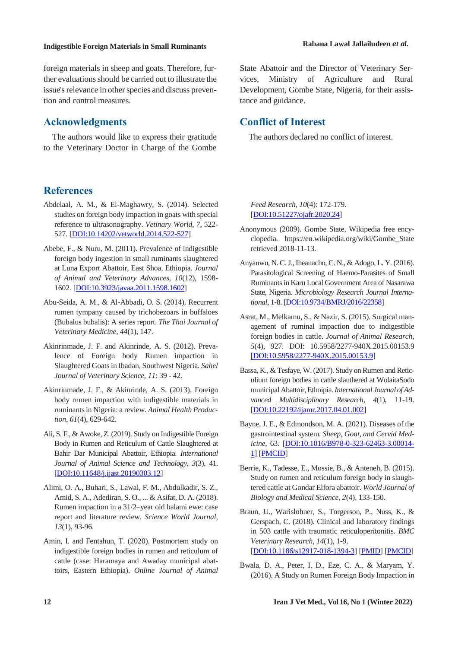foreign materials in sheep and goats. Therefore, further evaluations should be carried out to illustrate the issue's relevance in other species and discuss prevention and control measures.

#### **Acknowledgments**

The authors would like to express their gratitude to the Veterinary Doctor in Charge of the Gombe

## **References**

- Abdelaal, A. M., & El-Maghawry, S. (2014). Selected studies on foreign body impaction in goats with special reference to ultrasonography. *Vetinary World, 7*, 522- 527. [DOI:10.14202/vetworld.2014.522-527]
- Abebe, F., & Nuru, M. (2011). Prevalence of indigestible foreign body ingestion in small ruminants slaughtered at Luna Export Abattoir, East Shoa, Ethiopia. *Journal of Animal and Veterinary Advances*, *10*(12), 1598- 1602. [DOI:10.3923/javaa.2011.1598.1602]
- Abu-Seida, A. M., & Al-Abbadi, O. S. (2014). Recurrent rumen tympany caused by trichobezoars in buffaloes (Bubalus bubalis): A series report. *The Thai Journal of Veterinary Medicine*, *44*(1), 147.
- Akinrinmade, J. F. and Akinrinde, A. S. (2012). Prevalence of Foreign body Rumen impaction in Slaughtered Goats in Ibadan, Southwest Nigeria. *Sahel Journal of Veterinary Science, 11*: 39 - 42.
- Akinrinmade, J. F., & Akinrinde, A. S. (2013). Foreign body rumen impaction with indigestible materials in ruminantsin Nigeria: a review. *Animal Health Production*, *61*(4), 629-642.
- Ali, S. F., & Awoke, Z.(2019). Study on Indigestible Foreign Body in Rumen and Reticulum of Cattle Slaughtered at Bahir Dar Municipal Abattoir, Ethiopia. *International Journal of Animal Science and Technology*, *3*(3), 41. [DOI:10.11648/j.ijast.20190303.12]
- Alimi, O. A., Buhari, S., Lawal, F. M., Abdulkadir, S. Z., Amid, S. A., Adediran, S. O., ... & Asifat, D. A. (2018). Rumen impaction in a 31/2–year old balami ewe: case report and literature review. *Science World Journal*, *13*(1), 93-96.
- Amin, I. and Fentahun, T. (2020). Postmortem study on indigestible foreign bodies in rumen and reticulum of cattle (case: Haramaya and Awaday municipal abattoirs, Eastern Ethiopia). *Online Journal of Animal*

State Abattoir and the Director of Veterinary Services, Ministry of Agriculture and Rural Development, Gombe State, Nigeria, for their assistance and guidance.

# **Conflict of Interest**

The authors declared no conflict of interest.

*Feed Research, 10*(4): 172-179. [DOI:10.51227/ojafr.2020.24]

- Anonymous (2009). Gombe State, Wikipedia free encyclopedia. https://en.wikipedia.org/wiki/Gombe\_State retrieved 2018-11-13.
- Anyanwu, N. C.J., Iheanacho, C. N., & Adogo, L. Y. (2016). Parasitological Screening of Haemo-Parasites of Small Ruminants in Karu Local Government Area of Nasarawa State, Nigeria. *Microbiology Research Journal International*, 1-8. [DOI:10.9734/BMRJ/2016/22358]
- Asrat, M., Melkamu, S., & Nazir, S. (2015). Surgical management of ruminal impaction due to indigestible foreign bodies in cattle. *Journal of Animal Research*, *5*(4), 927. DOI: 10.5958/2277-940X.2015.00153.9 [DOI:10.5958/2277-940X.2015.00153.9]
- Bassa, K., & Tesfaye, W. (2017). Study on Rumen and Reticulium foreign bodies in cattle slauthered at WolaitaSodo municipalAbattoir,Ethoipia.*International Journal ofAdvanced Multidisciplinary Research*, *4*(1), 11-19. [DOI:10.22192/ijamr.2017.04.01.002]
- Bayne, J. E., & Edmondson, M. A. (2021). Diseases of the gastrointestinal system. *Sheep, Goat, and Cervid Medicine*, 63. [DOI:10.1016/B978-0-323-62463-3.00014- 1] [PMCID]
- Berrie, K., Tadesse, E., Mossie, B., & Anteneh, B. (2015). Study on rumen and reticulum foreign body in slaughtered cattle at Gondar Elfora abattoir. *World Journal of Biology and Medical Science*, *2*(4), 133-150.
- Braun, U., Warislohner, S., Torgerson, P., Nuss, K., & Gerspach, C. (2018). Clinical and laboratory findings in 503 cattle with traumatic reticuloperitonitis. *BMC Veterinary Research*, *14*(1), 1-9. [DOI:10.1186/s12917-018-1394-3] [PMID] [PMCID]
- Bwala, D. A., Peter, I. D., Eze, C. A., & Maryam, Y. (2016). A Study on Rumen Foreign Body Impaction in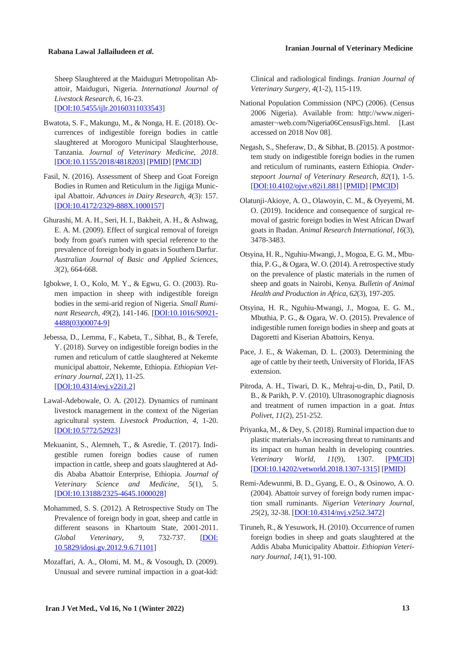Sheep Slaughtered at the Maiduguri Metropolitan Abattoir, Maiduguri, Nigeria. *International Journal of Livestock Research*, *6*, 16-23. [DOI:10.5455/ijlr.20160311033543]

- Bwatota, S. F., Makungu, M., & Nonga, H. E. (2018). Occurrences of indigestible foreign bodies in cattle slaughtered at Morogoro Municipal Slaughterhouse, Tanzania. *Journal of Veterinary Medicine*, *2018*. [DOI:10.1155/2018/4818203] [PMID] [PMCID]
- Fasil, N. (2016). Assessment of Sheep and Goat Foreign Bodies in Rumen and Reticulum in the Jigjiga Municipal Abattoir. *Advances in Dairy Research, 4*(3): 157. [DOI:10.4172/2329-888X.1000157]
- Ghurashi, M. A. H., Seri, H. I., Bakheit, A. H., & Ashwag, E. A. M. (2009). Effect of surgical removal of foreign body from goat's rumen with special reference to the prevalence of foreign body in goatsin Southern Darfur. *Australian Journal of Basic and Applied Sciences*, *3*(2), 664-668.
- Igbokwe, I. O., Kolo, M. Y., & Egwu, G. O. (2003). Rumen impaction in sheep with indigestible foreign bodies in the semi-arid region of Nigeria. *Small Ruminant Research*, *49*(2), 141-146. [DOI:10.1016/S0921- 4488(03)00074-9]
- Jebessa, D., Lemma, F., Kabeta, T., Sibhat, B., & Terefe, Y. (2018). Survey on indigestible foreign bodies in the rumen and reticulum of cattle slaughtered at Nekemte municipal abattoir, Nekemte, Ethiopia. *Ethiopian Veterinary Journal*, *22*(1), 11-25. [DOI:10.4314/evj.v22i1.2]
- Lawal-Adebowale, O. A. (2012). Dynamics of ruminant livestock management in the context of the Nigerian agricultural system. *Livestock Production*, *4*, 1-20. [DOI:10.5772/52923]
- Mekuanint, S., Alemneh, T., & Asredie, T. (2017). Indigestible rumen foreign bodies cause of rumen impaction in cattle, sheep and goats slaughtered at Addis Ababa Abattoir Enterprise, Ethiopia. *Journal of Veterinary Science and Medicine*, *5*(1), 5. [DOI:10.13188/2325-4645.1000028]
- Mohammed, S. S. (2012). A Retrospective Study on The Prevalence of foreign body in goat, sheep and cattle in different seasons in Khartoum State, 2001-2011. *Global Veterinary*, *9*, 732-737. [DOI: 10.5829/idosi.gv.2012.9.6.71101]
- Mozaffari, A. A., Olomi, M. M., & Vosough, D. (2009). Unusual and severe ruminal impaction in a goat-kid:

Clinical and radiological findings. *Iranian Journal of Veterinary Surgery*, *4*(1-2), 115-119.

- National Population Commission (NPC) (2006). (Census 2006 Nigeria). Available from: http://www.nigeriamaster¬web.com/Nigeria06CensusFigs.html. [Last accessed on 2018 Nov 08].
- Negash, S., Sheferaw, D., & Sibhat, B. (2015). A postmortem study on indigestible foreign bodies in the rumen and reticulum of ruminants, eastern Ethiopia. *Onderstepoort Journal of Veterinary Research*, *82*(1), 1-5. [DOI:10.4102/ojvr.v82i1.881] [PMID] [PMCID]
- Olatunji-Akioye, A. O., Olawoyin, C. M., & Oyeyemi, M. O. (2019). Incidence and consequence of surgical removal of gastric foreign bodies in West African Dwarf goats in Ibadan. *Animal Research International*, *16*(3), 3478-3483.
- Otsyina, H. R., Nguhiu-Mwangi,J., Mogoa, E. G. M., Mbuthia, P. G., & Ogara, W. O.(2014). A retrospective study on the prevalence of plastic materials in the rumen of sheep and goats in Nairobi, Kenya. *Bulletin of Animal Health and Production in Africa*, *62*(3), 197-205.
- Otsyina, H. R., Nguhiu-Mwangi, J., Mogoa, E. G. M., Mbuthia, P. G., & Ogara, W. O. (2015). Prevalence of indigestible rumen foreign bodies in sheep and goats at Dagoretti and Kiserian Abattoirs, Kenya.
- Pace, J. E., & Wakeman, D. L. (2003). Determining the age of cattle by their teeth, University of Florida, IFAS extension.
- Pitroda, A. H., Tiwari, D. K., Mehraj-u-din, D., Patil, D. B., & Parikh, P. V. (2010). Ultrasonographic diagnosis and treatment of rumen impaction in a goat. *Intas Polivet*, *11*(2), 251-252.
- Priyanka, M., & Dey, S. (2018). Ruminal impaction due to plastic materials-An increasing threat to ruminants and its impact on human health in developing countries. *Veterinary World*, *11*(9), 1307. [PMCID] [DOI:10.14202/vetworld.2018.1307-1315] [PMID]
- Remi-Adewunmi, B. D., Gyang, E. O., & Osinowo, A. O. (2004). Abattoir survey of foreign body rumen impaction small ruminants. *Nigerian Veterinary Journal*, *25*(2), 32-38. [DOI:10.4314/nvj.v25i2.3472]
- Tiruneh, R., & Yesuwork, H. (2010). Occurrence of rumen foreign bodies in sheep and goats slaughtered at the Addis Ababa Municipality Abattoir. *Ethiopian Veterinary Journal*, *14*(1), 91-100.